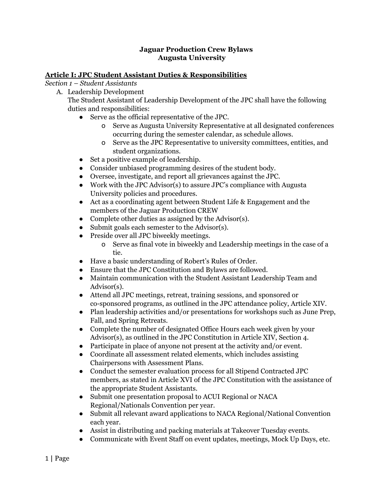### **Jaguar Production Crew Bylaws Augusta University**

### **Article I: JPC Student Assistant Duties & Responsibilities**

*Section 1 – Student Assistants*

A. Leadership Development

The Student Assistant of Leadership Development of the JPC shall have the following duties and responsibilities:

- Serve as the official representative of the JPC.
	- o Serve as Augusta University Representative at all designated conferences occurring during the semester calendar, as schedule allows.
	- o Serve as the JPC Representative to university committees, entities, and student organizations.
- Set a positive example of leadership.
- Consider unbiased programming desires of the student body.
- Oversee, investigate, and report all grievances against the JPC.
- Work with the JPC Advisor(s) to assure JPC's compliance with Augusta University policies and procedures.
- Act as a coordinating agent between Student Life & Engagement and the members of the Jaguar Production CREW
- Complete other duties as assigned by the Advisor(s).
- Submit goals each semester to the Advisor(s).
- Preside over all JPC biweekly meetings.
	- o Serve as final vote in biweekly and Leadership meetings in the case of a tie.
- Have a basic understanding of Robert's Rules of Order.
- Ensure that the JPC Constitution and Bylaws are followed.
- Maintain communication with the Student Assistant Leadership Team and Advisor(s).
- Attend all JPC meetings, retreat, training sessions, and sponsored or co-sponsored programs, as outlined in the JPC attendance policy, Article XIV.
- Plan leadership activities and/or presentations for workshops such as June Prep, Fall, and Spring Retreats.
- Complete the number of designated Office Hours each week given by your Advisor(s), as outlined in the JPC Constitution in Article XIV, Section 4.
- Participate in place of anyone not present at the activity and/or event.
- Coordinate all assessment related elements, which includes assisting Chairpersons with Assessment Plans.
- Conduct the semester evaluation process for all Stipend Contracted JPC members, as stated in Article XVI of the JPC Constitution with the assistance of the appropriate Student Assistants.
- Submit one presentation proposal to ACUI Regional or NACA Regional/Nationals Convention per year.
- Submit all relevant award applications to NACA Regional/National Convention each year.
- Assist in distributing and packing materials at Takeover Tuesday events.
- Communicate with Event Staff on event updates, meetings, Mock Up Days, etc.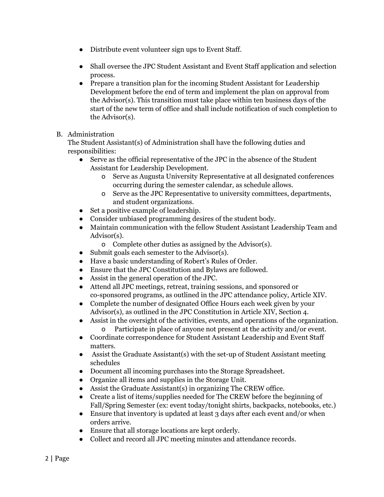- Distribute event volunteer sign ups to Event Staff.
- Shall oversee the JPC Student Assistant and Event Staff application and selection process.
- Prepare a transition plan for the incoming Student Assistant for Leadership Development before the end of term and implement the plan on approval from the Advisor(s). This transition must take place within ten business days of the start of the new term of office and shall include notification of such completion to the Advisor(s).

## B. Administration

The Student Assistant(s) of Administration shall have the following duties and responsibilities:

- Serve as the official representative of the JPC in the absence of the Student Assistant for Leadership Development.
	- o Serve as Augusta University Representative at all designated conferences occurring during the semester calendar, as schedule allows.
	- o Serve as the JPC Representative to university committees, departments, and student organizations.
- Set a positive example of leadership.
- Consider unbiased programming desires of the student body.
- Maintain communication with the fellow Student Assistant Leadership Team and Advisor(s).
	- o Complete other duties as assigned by the Advisor(s).
- Submit goals each semester to the Advisor(s).
- Have a basic understanding of Robert's Rules of Order.
- Ensure that the JPC Constitution and Bylaws are followed.
- Assist in the general operation of the JPC.
- Attend all JPC meetings, retreat, training sessions, and sponsored or co-sponsored programs, as outlined in the JPC attendance policy, Article XIV.
- Complete the number of designated Office Hours each week given by your Advisor(s), as outlined in the JPC Constitution in Article XIV, Section 4.
- Assist in the oversight of the activities, events, and operations of the organization. o Participate in place of anyone not present at the activity and/or event.
- Coordinate correspondence for Student Assistant Leadership and Event Staff matters.
- Assist the Graduate Assistant(s) with the set-up of Student Assistant meeting schedules
- Document all incoming purchases into the Storage Spreadsheet.
- Organize all items and supplies in the Storage Unit.
- Assist the Graduate Assistant(s) in organizing The CREW office.
- Create a list of items/supplies needed for The CREW before the beginning of Fall/Spring Semester (ex: event today/tonight shirts, backpacks, notebooks, etc.)
- Ensure that inventory is updated at least 3 days after each event and/or when orders arrive.
- Ensure that all storage locations are kept orderly.
- Collect and record all JPC meeting minutes and attendance records.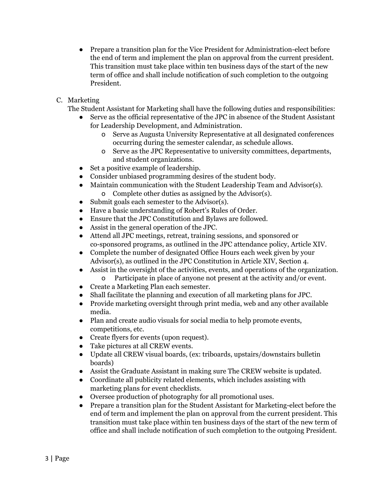- Prepare a transition plan for the Vice President for Administration-elect before the end of term and implement the plan on approval from the current president. This transition must take place within ten business days of the start of the new term of office and shall include notification of such completion to the outgoing President.
- C. Marketing

The Student Assistant for Marketing shall have the following duties and responsibilities:

- Serve as the official representative of the JPC in absence of the Student Assistant for Leadership Development, and Administration.
	- o Serve as Augusta University Representative at all designated conferences occurring during the semester calendar, as schedule allows.
	- o Serve as the JPC Representative to university committees, departments, and student organizations.
- Set a positive example of leadership.
- Consider unbiased programming desires of the student body.
- Maintain communication with the Student Leadership Team and Advisor(s). o Complete other duties as assigned by the Advisor(s).
- Submit goals each semester to the Advisor(s).
- Have a basic understanding of Robert's Rules of Order.
- Ensure that the JPC Constitution and Bylaws are followed.
- Assist in the general operation of the JPC.
- Attend all JPC meetings, retreat, training sessions, and sponsored or co-sponsored programs, as outlined in the JPC attendance policy, Article XIV.
- Complete the number of designated Office Hours each week given by your Advisor(s), as outlined in the JPC Constitution in Article XIV, Section 4.
- Assist in the oversight of the activities, events, and operations of the organization. o Participate in place of anyone not present at the activity and/or event.
- Create a Marketing Plan each semester.
- Shall facilitate the planning and execution of all marketing plans for JPC.
- Provide marketing oversight through print media, web and any other available media.
- Plan and create audio visuals for social media to help promote events, competitions, etc.
- Create flyers for events (upon request).
- Take pictures at all CREW events.
- Update all CREW visual boards, (ex: triboards, upstairs/downstairs bulletin boards)
- Assist the Graduate Assistant in making sure The CREW website is updated.
- Coordinate all publicity related elements, which includes assisting with marketing plans for event checklists.
- Oversee production of photography for all promotional uses.
- Prepare a transition plan for the Student Assistant for Marketing-elect before the end of term and implement the plan on approval from the current president. This transition must take place within ten business days of the start of the new term of office and shall include notification of such completion to the outgoing President.